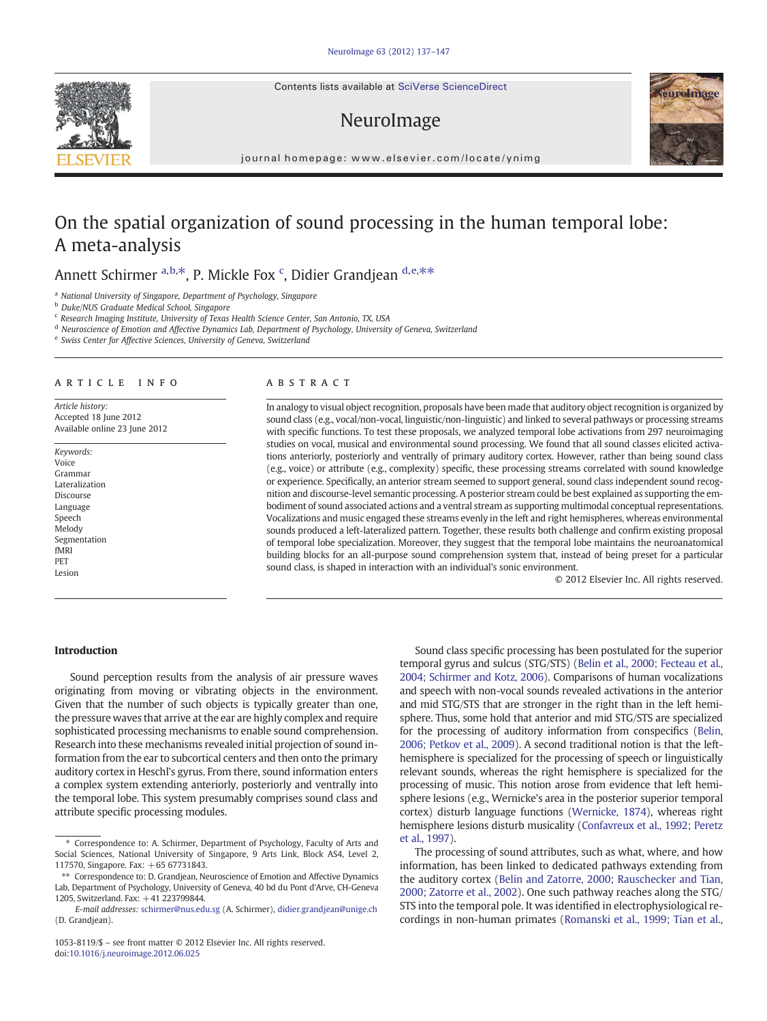Contents lists available at SciVerse ScienceDirect

# NeuroImage



journal homepage: www.elsevier.com/locate/ynimg

# On the spatial organization of sound processing in the human temporal lobe: A meta-analysis

## Annett Schirmer <sup>a, b,\*</sup>, P. Mickle Fox <sup>c</sup>, Didier Grandjean <sup>d, e,\*\*</sup>

<sup>a</sup> National University of Singapore, Department of Psychology, Singapore

<sup>b</sup> Duke/NUS Graduate Medical School, Singapore

<sup>c</sup> Research Imaging Institute, University of Texas Health Science Center, San Antonio, TX, USA

<sup>d</sup> Neuroscience of Emotion and Affective Dynamics Lab, Department of Psychology, University of Geneva, Switzerland

<sup>e</sup> Swiss Center for Affective Sciences, University of Geneva, Switzerland

#### article info abstract

Article history: Accepted 18 June 2012 Available online 23 June 2012

Keywords: Voice Grammar Lateralization Discourse Language Speech Melody Segmentation fMRI PET Lesion

In analogy to visual object recognition, proposals have been made that auditory object recognition is organized by sound class (e.g., vocal/non-vocal, linguistic/non-linguistic) and linked to several pathways or processing streams with specific functions. To test these proposals, we analyzed temporal lobe activations from 297 neuroimaging studies on vocal, musical and environmental sound processing. We found that all sound classes elicited activations anteriorly, posteriorly and ventrally of primary auditory cortex. However, rather than being sound class (e.g., voice) or attribute (e.g., complexity) specific, these processing streams correlated with sound knowledge or experience. Specifically, an anterior stream seemed to support general, sound class independent sound recognition and discourse-level semantic processing. A posterior stream could be best explained as supporting the embodiment of sound associated actions and a ventral stream as supporting multimodal conceptual representations. Vocalizations and music engaged these streams evenly in the left and right hemispheres, whereas environmental sounds produced a left-lateralized pattern. Together, these results both challenge and confirm existing proposal of temporal lobe specialization. Moreover, they suggest that the temporal lobe maintains the neuroanatomical building blocks for an all-purpose sound comprehension system that, instead of being preset for a particular sound class, is shaped in interaction with an individual's sonic environment.

© 2012 Elsevier Inc. All rights reserved.

### Introduction

Sound perception results from the analysis of air pressure waves originating from moving or vibrating objects in the environment. Given that the number of such objects is typically greater than one, the pressure waves that arrive at the ear are highly complex and require sophisticated processing mechanisms to enable sound comprehension. Research into these mechanisms revealed initial projection of sound information from the ear to subcortical centers and then onto the primary auditory cortex in Heschl's gyrus. From there, sound information enters a complex system extending anteriorly, posteriorly and ventrally into the temporal lobe. This system presumably comprises sound class and attribute specific processing modules.

Sound class specific processing has been postulated for the superior temporal gyrus and sulcus (STG/STS) ([Belin et al., 2000; Fecteau et al.,](#page-10-0) [2004; Schirmer and Kotz, 2006](#page-10-0)). Comparisons of human vocalizations and speech with non-vocal sounds revealed activations in the anterior and mid STG/STS that are stronger in the right than in the left hemisphere. Thus, some hold that anterior and mid STG/STS are specialized for the processing of auditory information from conspecifics ([Belin,](#page-10-0) [2006; Petkov et al., 2009\)](#page-10-0). A second traditional notion is that the lefthemisphere is specialized for the processing of speech or linguistically relevant sounds, whereas the right hemisphere is specialized for the processing of music. This notion arose from evidence that left hemisphere lesions (e.g., Wernicke's area in the posterior superior temporal cortex) disturb language functions [\(Wernicke, 1874\)](#page-10-0), whereas right hemisphere lesions disturb musicality [\(Confavreux et al., 1992; Peretz](#page-10-0) [et al., 1997](#page-10-0)).

The processing of sound attributes, such as what, where, and how information, has been linked to dedicated pathways extending from the auditory cortex ([Belin and Zatorre, 2000; Rauschecker and Tian,](#page-10-0) [2000; Zatorre et al., 2002\)](#page-10-0). One such pathway reaches along the STG/ STS into the temporal pole. It was identified in electrophysiological recordings in non-human primates [\(Romanski et al., 1999; Tian et al.,](#page-10-0)



<sup>⁎</sup> Correspondence to: A. Schirmer, Department of Psychology, Faculty of Arts and Social Sciences, National University of Singapore, 9 Arts Link, Block AS4, Level 2, 117570, Singapore. Fax: +65 67731843.

<sup>⁎⁎</sup> Correspondence to: D. Grandjean, Neuroscience of Emotion and Affective Dynamics Lab, Department of Psychology, University of Geneva, 40 bd du Pont d'Arve, CH-Geneva 1205, Switzerland. Fax: +41 223799844.

E-mail addresses: [schirmer@nus.edu.sg](mailto:schirmer@nus.edu.sg) (A. Schirmer), [didier.grandjean@unige.ch](mailto:didier.grandjean@unige.ch) (D. Grandjean).

<sup>1053-8119/\$</sup> – see front matter © 2012 Elsevier Inc. All rights reserved. doi:[10.1016/j.neuroimage.2012.06.025](http://dx.doi.org/10.1016/j.neuroimage.2012.06.025)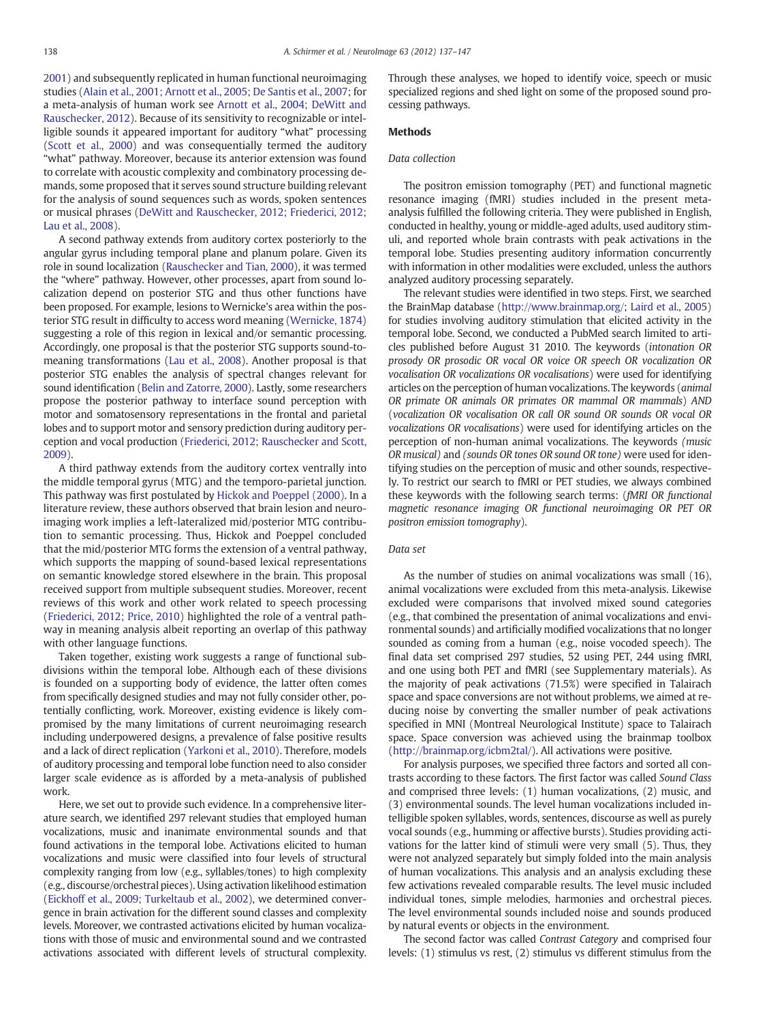<span id="page-1-0"></span>[2001\)](#page-10-0) and subsequently replicated in human functional neuroimaging studies ([Alain et al., 2001; Arnott et al., 2005; De Santis et al., 2007](#page-9-0); for a meta-analysis of human work see [Arnott et al., 2004; DeWitt and](#page-9-0) [Rauschecker, 2012](#page-9-0)). Because of its sensitivity to recognizable or intelligible sounds it appeared important for auditory "what" processing [\(Scott et al., 2000\)](#page-10-0) and was consequentially termed the auditory "what" pathway. Moreover, because its anterior extension was found to correlate with acoustic complexity and combinatory processing demands, some proposed that it serves sound structure building relevant for the analysis of sound sequences such as words, spoken sentences or musical phrases [\(DeWitt and Rauschecker, 2012; Friederici, 2012;](#page-10-0) [Lau et al., 2008](#page-10-0)).

A second pathway extends from auditory cortex posteriorly to the angular gyrus including temporal plane and planum polare. Given its role in sound localization [\(Rauschecker and Tian, 2000](#page-10-0)), it was termed the "where" pathway. However, other processes, apart from sound localization depend on posterior STG and thus other functions have been proposed. For example, lesions to Wernicke's area within the posterior STG result in difficulty to access word meaning ([Wernicke, 1874](#page-10-0)) suggesting a role of this region in lexical and/or semantic processing. Accordingly, one proposal is that the posterior STG supports sound-tomeaning transformations [\(Lau et al., 2008](#page-10-0)). Another proposal is that posterior STG enables the analysis of spectral changes relevant for sound identification ([Belin and Zatorre, 2000](#page-10-0)). Lastly, some researchers propose the posterior pathway to interface sound perception with motor and somatosensory representations in the frontal and parietal lobes and to support motor and sensory prediction during auditory perception and vocal production [\(Friederici, 2012; Rauschecker and Scott,](#page-10-0) [2009\)](#page-10-0).

A third pathway extends from the auditory cortex ventrally into the middle temporal gyrus (MTG) and the temporo-parietal junction. This pathway was first postulated by [Hickok and Poeppel \(2000\).](#page-10-0) In a literature review, these authors observed that brain lesion and neuroimaging work implies a left-lateralized mid/posterior MTG contribution to semantic processing. Thus, Hickok and Poeppel concluded that the mid/posterior MTG forms the extension of a ventral pathway, which supports the mapping of sound-based lexical representations on semantic knowledge stored elsewhere in the brain. This proposal received support from multiple subsequent studies. Moreover, recent reviews of this work and other work related to speech processing [\(Friederici, 2012; Price, 2010\)](#page-10-0) highlighted the role of a ventral pathway in meaning analysis albeit reporting an overlap of this pathway with other language functions.

Taken together, existing work suggests a range of functional subdivisions within the temporal lobe. Although each of these divisions is founded on a supporting body of evidence, the latter often comes from specifically designed studies and may not fully consider other, potentially conflicting, work. Moreover, existing evidence is likely compromised by the many limitations of current neuroimaging research including underpowered designs, a prevalence of false positive results and a lack of direct replication [\(Yarkoni et al., 2010\)](#page-10-0). Therefore, models of auditory processing and temporal lobe function need to also consider larger scale evidence as is afforded by a meta-analysis of published work.

Here, we set out to provide such evidence. In a comprehensive literature search, we identified 297 relevant studies that employed human vocalizations, music and inanimate environmental sounds and that found activations in the temporal lobe. Activations elicited to human vocalizations and music were classified into four levels of structural complexity ranging from low (e.g., syllables/tones) to high complexity (e.g., discourse/orchestral pieces). Using activation likelihood estimation [\(Eickhoff et al., 2009; Turkeltaub et al., 2002\)](#page-10-0), we determined convergence in brain activation for the different sound classes and complexity levels. Moreover, we contrasted activations elicited by human vocalizations with those of music and environmental sound and we contrasted activations associated with different levels of structural complexity. Through these analyses, we hoped to identify voice, speech or music specialized regions and shed light on some of the proposed sound processing pathways.

#### Methods

#### Data collection

The positron emission tomography (PET) and functional magnetic resonance imaging (fMRI) studies included in the present metaanalysis fulfilled the following criteria. They were published in English, conducted in healthy, young or middle-aged adults, used auditory stimuli, and reported whole brain contrasts with peak activations in the temporal lobe. Studies presenting auditory information concurrently with information in other modalities were excluded, unless the authors analyzed auditory processing separately.

The relevant studies were identified in two steps. First, we searched the BrainMap database ([http://www.brainmap.org/;](http://www.brainmap.org/) [Laird et al., 2005](#page-10-0)) for studies involving auditory stimulation that elicited activity in the temporal lobe. Second, we conducted a PubMed search limited to articles published before August 31 2010. The keywords (intonation OR prosody OR prosodic OR vocal OR voice OR speech OR vocalization OR vocalisation OR vocalizations OR vocalisations) were used for identifying articles on the perception of human vocalizations. The keywords (animal OR primate OR animals OR primates OR mammal OR mammals) AND (vocalization OR vocalisation OR call OR sound OR sounds OR vocal OR vocalizations OR vocalisations) were used for identifying articles on the perception of non-human animal vocalizations. The keywords (music OR musical) and (sounds OR tones OR sound OR tone) were used for identifying studies on the perception of music and other sounds, respectively. To restrict our search to fMRI or PET studies, we always combined these keywords with the following search terms: (fMRI OR functional magnetic resonance imaging OR functional neuroimaging OR PET OR positron emission tomography).

#### Data set

As the number of studies on animal vocalizations was small (16), animal vocalizations were excluded from this meta-analysis. Likewise excluded were comparisons that involved mixed sound categories (e.g., that combined the presentation of animal vocalizations and environmental sounds) and artificially modified vocalizations that no longer sounded as coming from a human (e.g., noise vocoded speech). The final data set comprised 297 studies, 52 using PET, 244 using fMRI, and one using both PET and fMRI (see Supplementary materials). As the majority of peak activations (71.5%) were specified in Talairach space and space conversions are not without problems, we aimed at reducing noise by converting the smaller number of peak activations specified in MNI (Montreal Neurological Institute) space to Talairach space. Space conversion was achieved using the brainmap toolbox [\(http://brainmap.org/icbm2tal/\)](http://brainmap.org/icbm2tal/). All activations were positive.

For analysis purposes, we specified three factors and sorted all contrasts according to these factors. The first factor was called Sound Class and comprised three levels: (1) human vocalizations, (2) music, and (3) environmental sounds. The level human vocalizations included intelligible spoken syllables, words, sentences, discourse as well as purely vocal sounds (e.g., humming or affective bursts). Studies providing activations for the latter kind of stimuli were very small (5). Thus, they were not analyzed separately but simply folded into the main analysis of human vocalizations. This analysis and an analysis excluding these few activations revealed comparable results. The level music included individual tones, simple melodies, harmonies and orchestral pieces. The level environmental sounds included noise and sounds produced by natural events or objects in the environment.

The second factor was called Contrast Category and comprised four levels: (1) stimulus vs rest, (2) stimulus vs different stimulus from the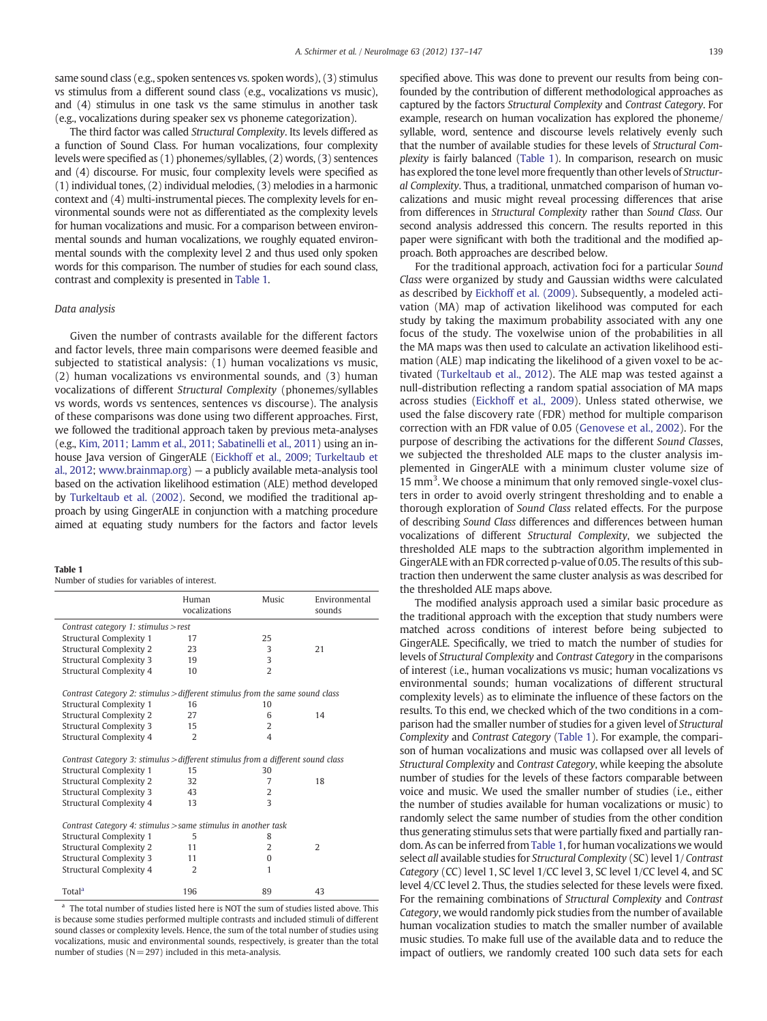same sound class (e.g., spoken sentences vs. spoken words), (3) stimulus vs stimulus from a different sound class (e.g., vocalizations vs music), and (4) stimulus in one task vs the same stimulus in another task (e.g., vocalizations during speaker sex vs phoneme categorization).

The third factor was called Structural Complexity. Its levels differed as a function of Sound Class. For human vocalizations, four complexity levels were specified as (1) phonemes/syllables, (2) words, (3) sentences and (4) discourse. For music, four complexity levels were specified as (1) individual tones, (2) individual melodies, (3) melodies in a harmonic context and (4) multi-instrumental pieces. The complexity levels for environmental sounds were not as differentiated as the complexity levels for human vocalizations and music. For a comparison between environmental sounds and human vocalizations, we roughly equated environmental sounds with the complexity level 2 and thus used only spoken words for this comparison. The number of studies for each sound class, contrast and complexity is presented in Table 1.

#### Data analysis

Given the number of contrasts available for the different factors and factor levels, three main comparisons were deemed feasible and subjected to statistical analysis: (1) human vocalizations vs music, (2) human vocalizations vs environmental sounds, and (3) human vocalizations of different Structural Complexity (phonemes/syllables vs words, words vs sentences, sentences vs discourse). The analysis of these comparisons was done using two different approaches. First, we followed the traditional approach taken by previous meta-analyses (e.g., [Kim, 2011; Lamm et al., 2011; Sabatinelli et al., 2011](#page-10-0)) using an inhouse Java version of GingerALE [\(Eickhoff et al., 2009; Turkeltaub et](#page-10-0) [al., 2012;](#page-10-0) [www.brainmap.org\)](http://www.brainmap.org) — a publicly available meta-analysis tool based on the activation likelihood estimation (ALE) method developed by [Turkeltaub et al. \(2002\)](#page-10-0). Second, we modified the traditional approach by using GingerALE in conjunction with a matching procedure aimed at equating study numbers for the factors and factor levels

#### Table 1

| Number of studies for variables of interest. |  |  |
|----------------------------------------------|--|--|
|----------------------------------------------|--|--|

|                                                                                 | Human<br>vocalizations | Music                   | Environmental<br>sounds |
|---------------------------------------------------------------------------------|------------------------|-------------------------|-------------------------|
| Contrast category 1: stimulus $>$ rest                                          |                        |                         |                         |
| Structural Complexity 1                                                         | 17                     | 25                      |                         |
| <b>Structural Complexity 2</b>                                                  | 23                     | 3                       | 21                      |
| <b>Structural Complexity 3</b>                                                  | 19                     | 3                       |                         |
| Structural Complexity 4                                                         | 10                     | $\overline{2}$          |                         |
| Contrast Category 2: stimulus > different stimulus from the same sound class    |                        |                         |                         |
| Structural Complexity 1                                                         | 16                     | 10                      |                         |
| Structural Complexity 2                                                         | 27                     | 6                       | 14                      |
| Structural Complexity 3                                                         | 15                     | 2                       |                         |
| Structural Complexity 4                                                         | 2                      | $\overline{\mathbf{4}}$ |                         |
| Contrast Category 3: stimulus > different stimulus from a different sound class |                        |                         |                         |
| Structural Complexity 1                                                         | 15                     | 30                      |                         |
| Structural Complexity 2                                                         | 32                     | 7                       | 18                      |
| Structural Complexity 3                                                         | 43                     | 2                       |                         |
| Structural Complexity 4                                                         | 13                     | 3                       |                         |
| Contrast Category 4: stimulus > same stimulus in another task                   |                        |                         |                         |
| Structural Complexity 1                                                         | 5                      | 8                       |                         |
| Structural Complexity 2                                                         | 11                     | $\overline{2}$          | 2                       |
| <b>Structural Complexity 3</b>                                                  | 11                     | $\Omega$                |                         |
| Structural Complexity 4                                                         | $\overline{2}$         | 1                       |                         |
| Total <sup>a</sup>                                                              | 196                    | 89                      | 43                      |

The total number of studies listed here is NOT the sum of studies listed above. This is because some studies performed multiple contrasts and included stimuli of different sound classes or complexity levels. Hence, the sum of the total number of studies using vocalizations, music and environmental sounds, respectively, is greater than the total number of studies  $(N = 297)$  included in this meta-analysis.

specified above. This was done to prevent our results from being confounded by the contribution of different methodological approaches as captured by the factors Structural Complexity and Contrast Category. For example, research on human vocalization has explored the phoneme/ syllable, word, sentence and discourse levels relatively evenly such that the number of available studies for these levels of Structural Complexity is fairly balanced (Table 1). In comparison, research on music has explored the tone level more frequently than other levels of Structural Complexity. Thus, a traditional, unmatched comparison of human vocalizations and music might reveal processing differences that arise from differences in Structural Complexity rather than Sound Class. Our second analysis addressed this concern. The results reported in this paper were significant with both the traditional and the modified approach. Both approaches are described below.

For the traditional approach, activation foci for a particular Sound Class were organized by study and Gaussian widths were calculated as described by [Eickhoff et al. \(2009\).](#page-10-0) Subsequently, a modeled activation (MA) map of activation likelihood was computed for each study by taking the maximum probability associated with any one focus of the study. The voxelwise union of the probabilities in all the MA maps was then used to calculate an activation likelihood estimation (ALE) map indicating the likelihood of a given voxel to be activated [\(Turkeltaub et al., 2012\)](#page-10-0). The ALE map was tested against a null-distribution reflecting a random spatial association of MA maps across studies ([Eickhoff et al., 2009\)](#page-10-0). Unless stated otherwise, we used the false discovery rate (FDR) method for multiple comparison correction with an FDR value of 0.05 [\(Genovese et al., 2002\)](#page-10-0). For the purpose of describing the activations for the different Sound Classes, we subjected the thresholded ALE maps to the cluster analysis implemented in GingerALE with a minimum cluster volume size of 15 mm<sup>3</sup>. We choose a minimum that only removed single-voxel clusters in order to avoid overly stringent thresholding and to enable a thorough exploration of Sound Class related effects. For the purpose of describing Sound Class differences and differences between human vocalizations of different Structural Complexity, we subjected the thresholded ALE maps to the subtraction algorithm implemented in GingerALE with an FDR corrected p-value of 0.05. The results of this subtraction then underwent the same cluster analysis as was described for the thresholded ALE maps above.

The modified analysis approach used a similar basic procedure as the traditional approach with the exception that study numbers were matched across conditions of interest before being subjected to GingerALE. Specifically, we tried to match the number of studies for levels of Structural Complexity and Contrast Category in the comparisons of interest (i.e., human vocalizations vs music; human vocalizations vs environmental sounds; human vocalizations of different structural complexity levels) as to eliminate the influence of these factors on the results. To this end, we checked which of the two conditions in a comparison had the smaller number of studies for a given level of Structural Complexity and Contrast Category (Table 1). For example, the comparison of human vocalizations and music was collapsed over all levels of Structural Complexity and Contrast Category, while keeping the absolute number of studies for the levels of these factors comparable between voice and music. We used the smaller number of studies (i.e., either the number of studies available for human vocalizations or music) to randomly select the same number of studies from the other condition thus generating stimulus sets that were partially fixed and partially random. As can be inferred from Table 1, for human vocalizations we would select all available studies for Structural Complexity (SC) level 1/ Contrast Category (CC) level 1, SC level 1/CC level 3, SC level 1/CC level 4, and SC level 4/CC level 2. Thus, the studies selected for these levels were fixed. For the remaining combinations of Structural Complexity and Contrast Category, we would randomly pick studies from the number of available human vocalization studies to match the smaller number of available music studies. To make full use of the available data and to reduce the impact of outliers, we randomly created 100 such data sets for each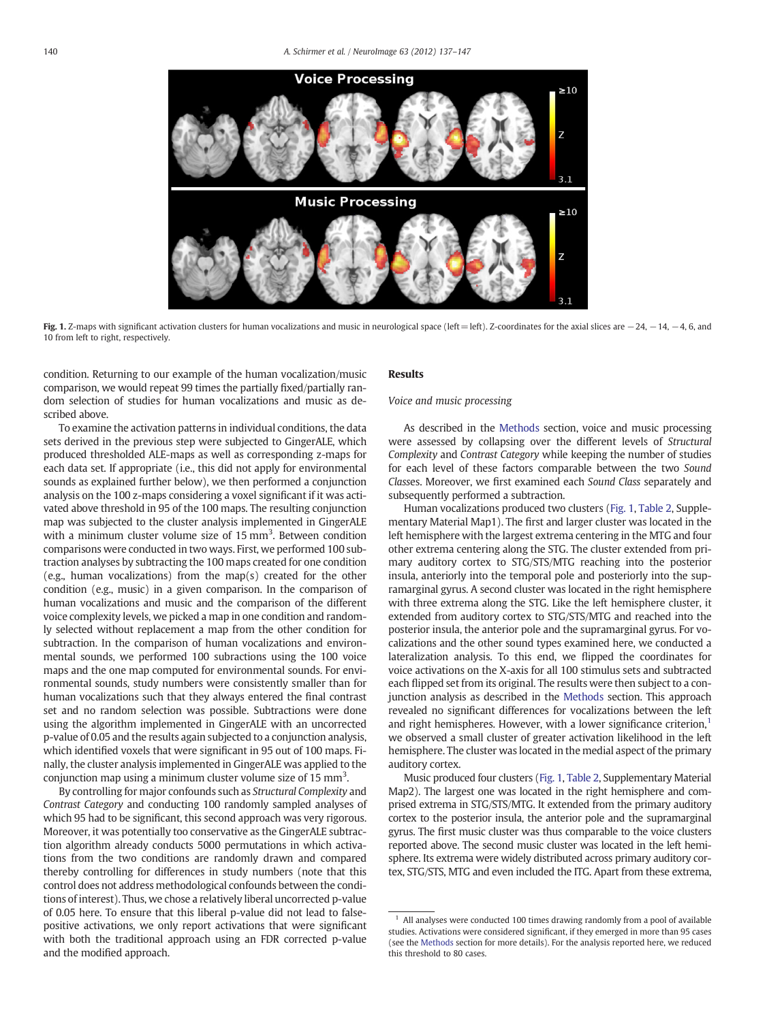

Fig. 1. Z-maps with significant activation clusters for human vocalizations and music in neurological space (left=left). Z-coordinates for the axial slices are −24, −14, −4, 6, and 10 from left to right, respectively.

condition. Returning to our example of the human vocalization/music comparison, we would repeat 99 times the partially fixed/partially random selection of studies for human vocalizations and music as described above.

To examine the activation patterns in individual conditions, the data sets derived in the previous step were subjected to GingerALE, which produced thresholded ALE-maps as well as corresponding z-maps for each data set. If appropriate (i.e., this did not apply for environmental sounds as explained further below), we then performed a conjunction analysis on the 100 z-maps considering a voxel significant if it was activated above threshold in 95 of the 100 maps. The resulting conjunction map was subjected to the cluster analysis implemented in GingerALE with a minimum cluster volume size of 15 mm<sup>3</sup>. Between condition comparisons were conducted in two ways. First, we performed 100 subtraction analyses by subtracting the 100 maps created for one condition  $(e.g., human vocalizations)$  from the map(s) created for the other condition (e.g., music) in a given comparison. In the comparison of human vocalizations and music and the comparison of the different voice complexity levels, we picked a map in one condition and randomly selected without replacement a map from the other condition for subtraction. In the comparison of human vocalizations and environmental sounds, we performed 100 subractions using the 100 voice maps and the one map computed for environmental sounds. For environmental sounds, study numbers were consistently smaller than for human vocalizations such that they always entered the final contrast set and no random selection was possible. Subtractions were done using the algorithm implemented in GingerALE with an uncorrected p-value of 0.05 and the results again subjected to a conjunction analysis, which identified voxels that were significant in 95 out of 100 maps. Finally, the cluster analysis implemented in GingerALE was applied to the conjunction map using a minimum cluster volume size of 15 mm<sup>3</sup>.

By controlling for major confounds such as Structural Complexity and Contrast Category and conducting 100 randomly sampled analyses of which 95 had to be significant, this second approach was very rigorous. Moreover, it was potentially too conservative as the GingerALE subtraction algorithm already conducts 5000 permutations in which activations from the two conditions are randomly drawn and compared thereby controlling for differences in study numbers (note that this control does not address methodological confounds between the conditions of interest). Thus, we chose a relatively liberal uncorrected p-value of 0.05 here. To ensure that this liberal p-value did not lead to falsepositive activations, we only report activations that were significant with both the traditional approach using an FDR corrected p-value and the modified approach.

#### Results

#### Voice and music processing

As described in the [Methods](#page-1-0) section, voice and music processing were assessed by collapsing over the different levels of Structural Complexity and Contrast Category while keeping the number of studies for each level of these factors comparable between the two Sound Classes. Moreover, we first examined each Sound Class separately and subsequently performed a subtraction.

Human vocalizations produced two clusters (Fig. 1, [Table 2,](#page-4-0) Supplementary Material Map1). The first and larger cluster was located in the left hemisphere with the largest extrema centering in the MTG and four other extrema centering along the STG. The cluster extended from primary auditory cortex to STG/STS/MTG reaching into the posterior insula, anteriorly into the temporal pole and posteriorly into the supramarginal gyrus. A second cluster was located in the right hemisphere with three extrema along the STG. Like the left hemisphere cluster, it extended from auditory cortex to STG/STS/MTG and reached into the posterior insula, the anterior pole and the supramarginal gyrus. For vocalizations and the other sound types examined here, we conducted a lateralization analysis. To this end, we flipped the coordinates for voice activations on the X-axis for all 100 stimulus sets and subtracted each flipped set from its original. The results were then subject to a conjunction analysis as described in the [Methods](#page-1-0) section. This approach revealed no significant differences for vocalizations between the left and right hemispheres. However, with a lower significance criterion, $<sup>1</sup>$ </sup> we observed a small cluster of greater activation likelihood in the left hemisphere. The cluster was located in the medial aspect of the primary auditory cortex.

Music produced four clusters (Fig. 1, [Table 2](#page-4-0), Supplementary Material Map2). The largest one was located in the right hemisphere and comprised extrema in STG/STS/MTG. It extended from the primary auditory cortex to the posterior insula, the anterior pole and the supramarginal gyrus. The first music cluster was thus comparable to the voice clusters reported above. The second music cluster was located in the left hemisphere. Its extrema were widely distributed across primary auditory cortex, STG/STS, MTG and even included the ITG. Apart from these extrema,

All analyses were conducted 100 times drawing randomly from a pool of available studies. Activations were considered significant, if they emerged in more than 95 cases (see the [Methods](#page-1-0) section for more details). For the analysis reported here, we reduced this threshold to 80 cases.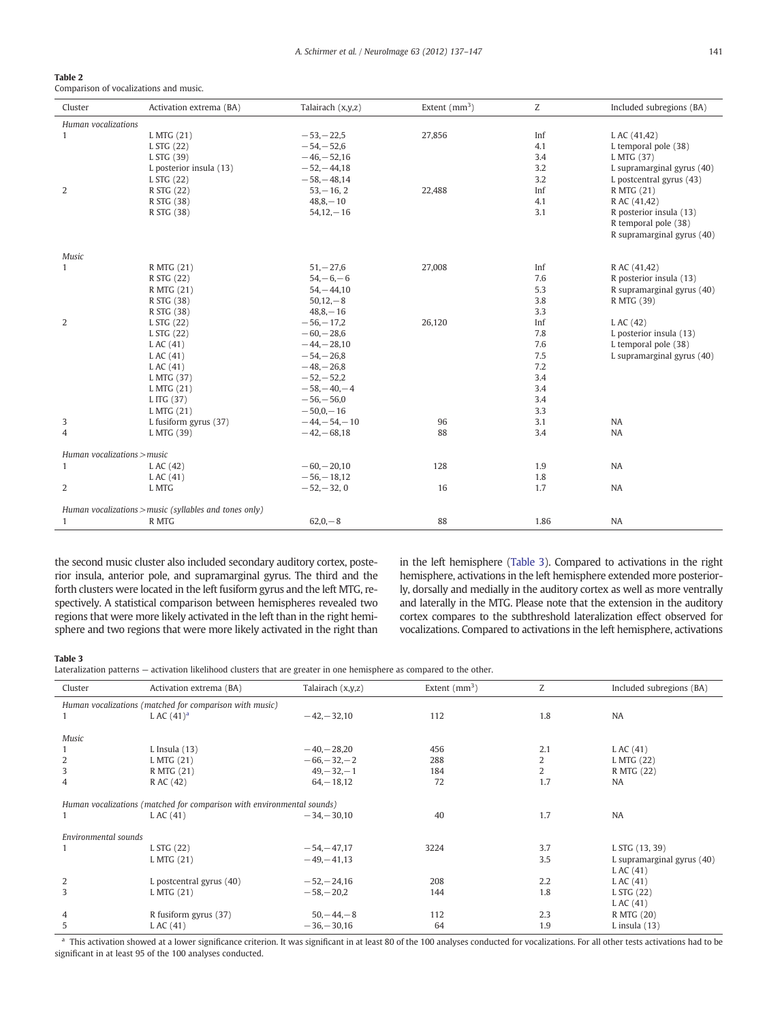<span id="page-4-0"></span>

| Table 2                                |  |
|----------------------------------------|--|
| Comparison of vocalizations and music. |  |

| Cluster                     | Activation extrema (BA)                                | Talairach (x,y,z) | Extent $(mm3)$ | Ζ    | Included subregions (BA)   |
|-----------------------------|--------------------------------------------------------|-------------------|----------------|------|----------------------------|
| Human vocalizations         |                                                        |                   |                |      |                            |
| $\mathbf{1}$                | L MTG (21)                                             | $-53, -22,5$      | 27,856         | Inf  | L AC (41,42)               |
|                             | L STG (22)                                             | $-54, -52, 6$     |                | 4.1  | L temporal pole (38)       |
|                             | L STG (39)                                             | $-46 - 52,16$     |                | 3.4  | L MTG (37)                 |
|                             | L posterior insula (13)                                | $-52, -44, 18$    |                | 3.2  | L supramarginal gyrus (40) |
|                             | L STG (22)                                             | $-58, -48,14$     |                | 3.2  | L postcentral gyrus (43)   |
| 2                           | R STG (22)                                             | $53 - 16, 2$      | 22,488         | Inf  | R MTG (21)                 |
|                             | R STG (38)                                             | $48,8,-10$        |                | 4.1  | R AC (41,42)               |
|                             | R STG (38)                                             | $54, 12, -16$     |                | 3.1  | R posterior insula (13)    |
|                             |                                                        |                   |                |      | R temporal pole (38)       |
|                             |                                                        |                   |                |      | R supramarginal gyrus (40) |
| Music                       |                                                        |                   |                |      |                            |
| $\mathbf{1}$                | R MTG (21)                                             | $51, -27, 6$      | 27,008         | Inf  | R AC (41,42)               |
|                             | R STG (22)                                             | $54, -6, -6$      |                | 7.6  | R posterior insula (13)    |
|                             | R MTG (21)                                             | $54, -44, 10$     |                | 5.3  | R supramarginal gyrus (40) |
|                             | R STG (38)                                             | $50,12,-8$        |                | 3.8  | R MTG (39)                 |
|                             | R STG (38)                                             | $48,8,-16$        |                | 3.3  |                            |
| 2                           | L STG (22)                                             | $-56 - 17.2$      | 26,120         | Inf  | L AC (42)                  |
|                             | L STG (22)                                             | $-60, -28, 6$     |                | 7.8  | L posterior insula (13)    |
|                             | LAC $(41)$                                             | $-44, -28, 10$    |                | 7.6  | L temporal pole (38)       |
|                             | LAC $(41)$                                             | $-54, -26,8$      |                | 7.5  | L supramarginal gyrus (40) |
|                             | L AC (41)                                              | $-48 - 26.8$      |                | 7.2  |                            |
|                             | L MTG (37)                                             | $-52, -52, 2$     |                | 3.4  |                            |
|                             | L MTG (21)                                             | $-58, -40, -4$    |                | 3.4  |                            |
|                             | L ITG (37)                                             | $-56, -56, 0$     |                | 3.4  |                            |
|                             | L MTG (21)                                             | $-50.0 - 16$      |                | 3.3  |                            |
| 3                           | L fusiform gyrus (37)                                  | $-44, -54, -10$   | 96             | 3.1  | NA                         |
| $\overline{4}$              | L MTG (39)                                             | $-42,-68,18$      | 88             | 3.4  | <b>NA</b>                  |
| Human vocalizations > music |                                                        |                   |                |      |                            |
| $\mathbf{1}$                | LAC $(42)$                                             | $-60, -20, 10$    | 128            | 1.9  | <b>NA</b>                  |
|                             | LAC $(41)$                                             | $-56 - 18,12$     |                | 1.8  |                            |
| $\overline{2}$              | L MTG                                                  | $-52, -32, 0$     | 16             | 1.7  | <b>NA</b>                  |
|                             | Human vocalizations > music (syllables and tones only) |                   |                |      |                            |
| $\mathbf{1}$                | R MTG                                                  | $62,0,-8$         | 88             | 1.86 | <b>NA</b>                  |

the second music cluster also included secondary auditory cortex, posterior insula, anterior pole, and supramarginal gyrus. The third and the forth clusters were located in the left fusiform gyrus and the left MTG, respectively. A statistical comparison between hemispheres revealed two regions that were more likely activated in the left than in the right hemisphere and two regions that were more likely activated in the right than in the left hemisphere (Table 3). Compared to activations in the right hemisphere, activations in the left hemisphere extended more posteriorly, dorsally and medially in the auditory cortex as well as more ventrally and laterally in the MTG. Please note that the extension in the auditory cortex compares to the subthreshold lateralization effect observed for vocalizations. Compared to activations in the left hemisphere, activations

#### Table 3

l.

l.

Lateralization patterns — activation likelihood clusters that are greater in one hemisphere as compared to the other.

| Cluster              | Activation extrema (BA)                                                | Talairach (x,y,z) | Extent $(mm^3)$ | Z   | Included subregions (BA)   |  |  |  |
|----------------------|------------------------------------------------------------------------|-------------------|-----------------|-----|----------------------------|--|--|--|
|                      | Human vocalizations (matched for comparison with music)                |                   |                 |     |                            |  |  |  |
|                      | L AC $(41)^a$                                                          | $-42 - 32.10$     | 112             | 1.8 | <b>NA</b>                  |  |  |  |
| Music                |                                                                        |                   |                 |     |                            |  |  |  |
| 1                    | $L$ Insula $(13)$                                                      | $-40, -28, 20$    | 456             | 2.1 | LAC $(41)$                 |  |  |  |
| 2                    | L MTG (21)                                                             | $-66, -32, -2$    | 288             | 2   | L MTG (22)                 |  |  |  |
| 3                    | R MTG (21)                                                             | $49, -32, -1$     | 184             | 2   | R MTG (22)                 |  |  |  |
| $\overline{4}$       | R AC (42)                                                              | $64 - 18,12$      | 72              | 1.7 | <b>NA</b>                  |  |  |  |
|                      | Human vocalizations (matched for comparison with environmental sounds) |                   |                 |     |                            |  |  |  |
|                      | LAC(41)                                                                | $-34 - 30.10$     | 40              | 1.7 | <b>NA</b>                  |  |  |  |
| Environmental sounds |                                                                        |                   |                 |     |                            |  |  |  |
|                      | L STG (22)                                                             | $-54, -47, 17$    | 3224            | 3.7 | L STG (13, 39)             |  |  |  |
|                      | L MTG (21)                                                             | $-49 - 41.13$     |                 | 3.5 | L supramarginal gyrus (40) |  |  |  |
|                      |                                                                        |                   |                 |     | LAC $(41)$                 |  |  |  |
| 2                    | L postcentral gyrus (40)                                               | $-52, -24, 16$    | 208             | 2.2 | LAC $(41)$                 |  |  |  |
| 3                    | L MTG (21)                                                             | $-58, -20,2$      | 144             | 1.8 | L STG (22)                 |  |  |  |
|                      |                                                                        |                   |                 |     | LAC $(41)$                 |  |  |  |
| 4                    | R fusiform gyrus (37)                                                  | $50, -44, -8$     | 112             | 2.3 | R MTG (20)                 |  |  |  |
| 5                    | LAC(41)                                                                | $-36 - 30.16$     | 64              | 1.9 | L insula $(13)$            |  |  |  |

a This activation showed at a lower significance criterion. It was significant in at least 80 of the 100 analyses conducted for vocalizations. For all other tests activations had to be significant in at least 95 of the 100 analyses conducted.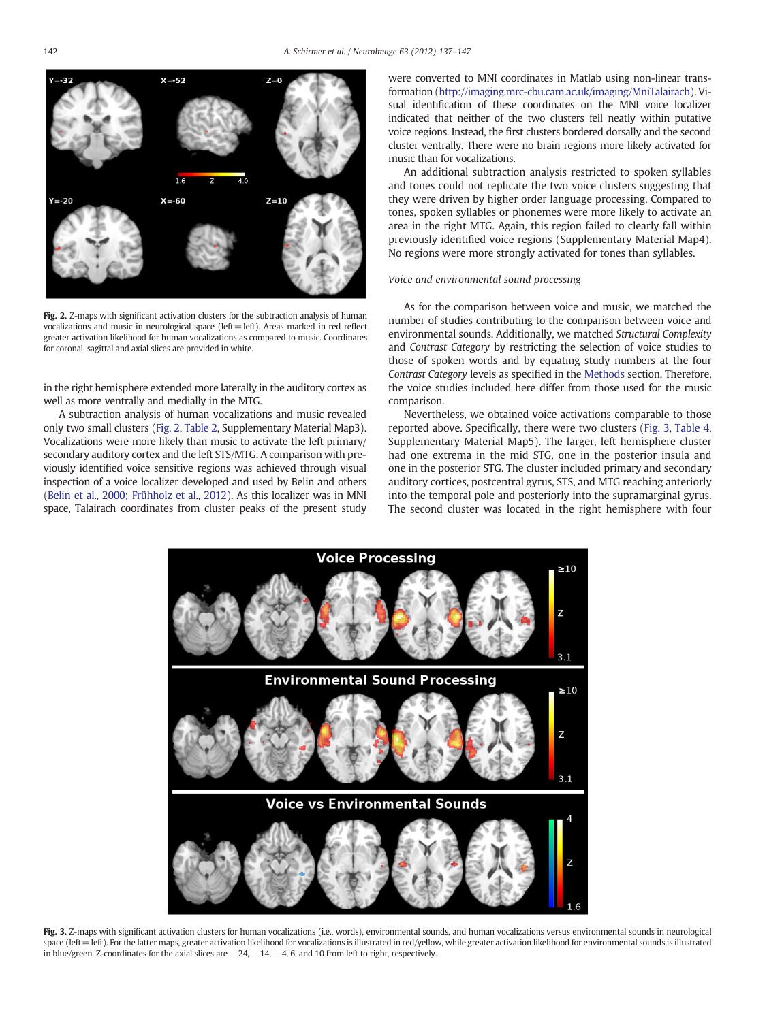<span id="page-5-0"></span>

Fig. 2. Z-maps with significant activation clusters for the subtraction analysis of human vocalizations and music in neurological space (left=left). Areas marked in red reflect greater activation likelihood for human vocalizations as compared to music. Coordinates for coronal, sagittal and axial slices are provided in white.

in the right hemisphere extended more laterally in the auditory cortex as well as more ventrally and medially in the MTG.

A subtraction analysis of human vocalizations and music revealed only two small clusters (Fig. 2, [Table 2,](#page-4-0) Supplementary Material Map3). Vocalizations were more likely than music to activate the left primary/ secondary auditory cortex and the left STS/MTG. A comparison with previously identified voice sensitive regions was achieved through visual inspection of a voice localizer developed and used by Belin and others [\(Belin et al., 2000; Frühholz et al., 2012](#page-10-0)). As this localizer was in MNI space, Talairach coordinates from cluster peaks of the present study were converted to MNI coordinates in Matlab using non-linear transformation [\(http://imaging.mrc-cbu.cam.ac.uk/imaging/MniTalairach\)](http://imaging.mrc-cbu.cam.ac.uk/imaging/MniTalairach). Visual identification of these coordinates on the MNI voice localizer indicated that neither of the two clusters fell neatly within putative voice regions. Instead, the first clusters bordered dorsally and the second cluster ventrally. There were no brain regions more likely activated for music than for vocalizations.

An additional subtraction analysis restricted to spoken syllables and tones could not replicate the two voice clusters suggesting that they were driven by higher order language processing. Compared to tones, spoken syllables or phonemes were more likely to activate an area in the right MTG. Again, this region failed to clearly fall within previously identified voice regions (Supplementary Material Map4). No regions were more strongly activated for tones than syllables.

#### Voice and environmental sound processing

As for the comparison between voice and music, we matched the number of studies contributing to the comparison between voice and environmental sounds. Additionally, we matched Structural Complexity and Contrast Category by restricting the selection of voice studies to those of spoken words and by equating study numbers at the four Contrast Category levels as specified in the [Methods](#page-1-0) section. Therefore, the voice studies included here differ from those used for the music comparison.

Nevertheless, we obtained voice activations comparable to those reported above. Specifically, there were two clusters (Fig. 3, [Table 4,](#page-6-0) Supplementary Material Map5). The larger, left hemisphere cluster had one extrema in the mid STG, one in the posterior insula and one in the posterior STG. The cluster included primary and secondary auditory cortices, postcentral gyrus, STS, and MTG reaching anteriorly into the temporal pole and posteriorly into the supramarginal gyrus. The second cluster was located in the right hemisphere with four



Fig. 3. Z-maps with significant activation clusters for human vocalizations (i.e., words), environmental sounds, and human vocalizations versus environmental sounds in neurological space (left=left). For the latter maps, greater activation likelihood for vocalizations is illustrated in red/yellow, while greater activation likelihood for environmental sounds is illustrated in blue/green. Z-coordinates for the axial slices are  $-24$ ,  $-14$ ,  $-4$ , 6, and 10 from left to right, respectively.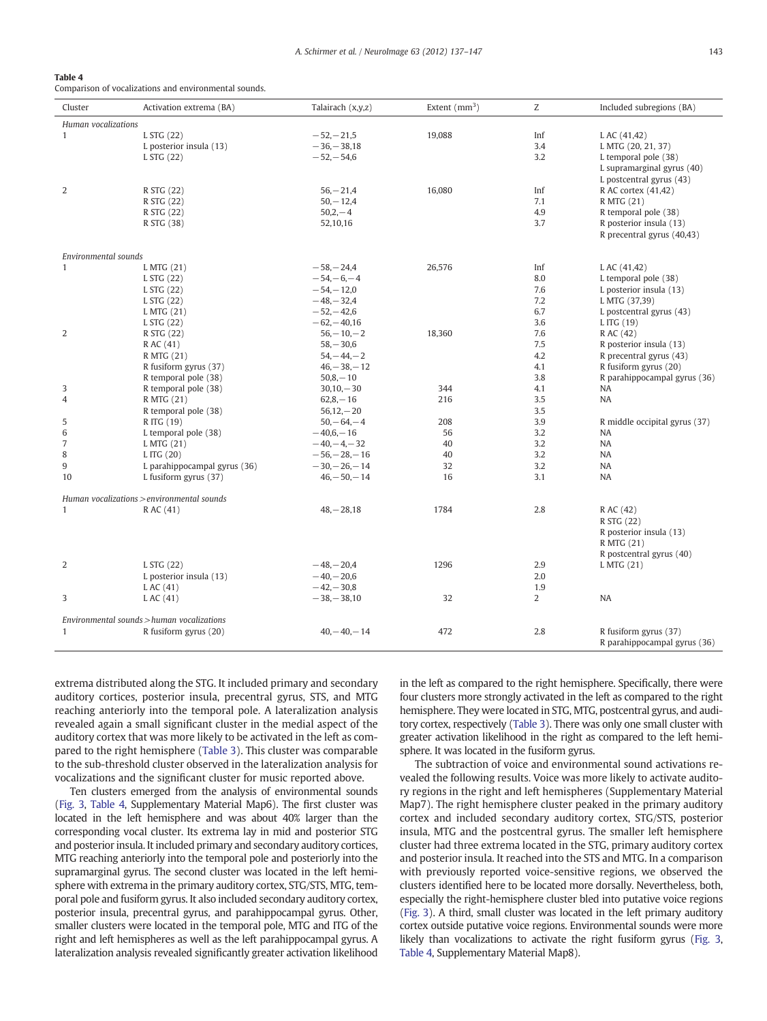<span id="page-6-0"></span>

| Table 4 |                                                       |  |
|---------|-------------------------------------------------------|--|
|         | Comparison of vocalizations and environmental sounds. |  |

| Cluster              | Activation extrema (BA)                    | Talairach (x,y,z) | Extent $(mm3)$ | Z   | Included subregions (BA)      |
|----------------------|--------------------------------------------|-------------------|----------------|-----|-------------------------------|
| Human vocalizations  |                                            |                   |                |     |                               |
| $\mathbf{1}$         | L STG (22)                                 | $-52, -21, 5$     | 19,088         | Inf | L AC (41,42)                  |
|                      | L posterior insula (13)                    | $-36 - 38,18$     |                | 3.4 | L MTG (20, 21, 37)            |
|                      | L STG (22)                                 | $-52, -54, 6$     |                | 3.2 | L temporal pole (38)          |
|                      |                                            |                   |                |     | L supramarginal gyrus (40)    |
|                      |                                            |                   |                |     | L postcentral gyrus (43)      |
| 2                    | R STG (22)                                 | $56 - 21.4$       | 16,080         | Inf | R AC cortex (41,42)           |
|                      | R STG (22)                                 | $50, -12,4$       |                | 7.1 | R MTG (21)                    |
|                      | R STG (22)                                 | $50,2,-4$         |                | 4.9 | R temporal pole (38)          |
|                      | R STG (38)                                 | 52,10,16          |                | 3.7 | R posterior insula (13)       |
|                      |                                            |                   |                |     | R precentral gyrus (40,43)    |
| Environmental sounds |                                            |                   |                |     |                               |
| 1                    | L MTG (21)                                 | $-58, -24,4$      | 26,576         | Inf | L AC (41,42)                  |
|                      | L STG (22)                                 | $-54,-6,-4$       |                | 8.0 | L temporal pole (38)          |
|                      | L STG (22)                                 | $-54,-12,0$       |                | 7.6 | L posterior insula (13)       |
|                      | L STG (22)                                 | $-48, -32, 4$     |                | 7.2 | L MTG (37,39)                 |
|                      | L MTG (21)                                 | $-52,-42,6$       |                | 6.7 | L postcentral gyrus (43)      |
|                      | L STG (22)                                 | $-62, -40, 16$    |                | 3.6 | L ITG $(19)$                  |
| $\overline{2}$       | R STG (22)                                 | $56 - 10 - 2$     | 18,360         | 7.6 | R AC (42)                     |
|                      | R AC (41)                                  | $58 - 30,6$       |                | 7.5 | R posterior insula (13)       |
|                      | R MTG (21)                                 | $54, -44, -2$     |                | 4.2 | R precentral gyrus (43)       |
|                      | R fusiform gyrus (37)                      | $46, -38, -12$    |                | 4.1 | R fusiform gyrus (20)         |
|                      | R temporal pole (38)                       | $50,8,-10$        |                | 3.8 | R parahippocampal gyrus (36)  |
| 3                    | R temporal pole (38)                       | $30,10,-30$       | 344            | 4.1 | <b>NA</b>                     |
| $\overline{4}$       | R MTG (21)                                 | $62,8,-16$        | 216            | 3.5 | <b>NA</b>                     |
|                      | R temporal pole (38)                       | $56,12,-20$       |                | 3.5 |                               |
| 5                    | R ITG (19)                                 | $50, -64, -4$     | 208            | 3.9 | R middle occipital gyrus (37) |
| 6                    | L temporal pole (38)                       | $-40,6,-16$       | 56             | 3.2 | NA                            |
| $\sqrt{ }$           | L MTG (21)                                 | $-40, -4, -32$    | 40             | 3.2 | <b>NA</b>                     |
| 8                    | L ITG (20)                                 | $-56 - 28 - 16$   | 40             | 3.2 | NA                            |
| 9                    | L parahippocampal gyrus (36)               | $-30, -26, -14$   | 32             | 3.2 | <b>NA</b>                     |
| 10                   | L fusiform gyrus (37)                      | $46, -50, -14$    | 16             | 3.1 | <b>NA</b>                     |
|                      |                                            |                   |                |     |                               |
|                      | Human vocalizations > environmental sounds |                   |                |     |                               |
| $\mathbf{1}$         | R AC (41)                                  | $48, -28, 18$     | 1784           | 2.8 | R AC (42)                     |
|                      |                                            |                   |                |     | R STG (22)                    |
|                      |                                            |                   |                |     | R posterior insula (13)       |
|                      |                                            |                   |                |     | R MTG (21)                    |
| 2                    |                                            | $-48 - 20.4$      | 1296           | 2.9 | R postcentral gyrus (40)      |
|                      | L STG (22)                                 | $-40, -20, 6$     |                | 2.0 | L MTG (21)                    |
|                      | L posterior insula (13)                    |                   |                |     |                               |
|                      | L AC (41)                                  | $-42, -30, 8$     |                | 1.9 |                               |
| 3                    | L AC (41)                                  | $-38 - 38,10$     | 32             | 2   | <b>NA</b>                     |
|                      | Environmental sounds > human vocalizations |                   |                |     |                               |
| $\mathbf{1}$         | R fusiform gyrus (20)                      | $40, -40, -14$    | 472            | 2.8 | R fusiform gyrus (37)         |
|                      |                                            |                   |                |     | R parahippocampal gyrus (36)  |

extrema distributed along the STG. It included primary and secondary auditory cortices, posterior insula, precentral gyrus, STS, and MTG reaching anteriorly into the temporal pole. A lateralization analysis revealed again a small significant cluster in the medial aspect of the auditory cortex that was more likely to be activated in the left as compared to the right hemisphere [\(Table 3](#page-4-0)). This cluster was comparable to the sub-threshold cluster observed in the lateralization analysis for vocalizations and the significant cluster for music reported above.

Ten clusters emerged from the analysis of environmental sounds [\(Fig. 3](#page-5-0), Table 4, Supplementary Material Map6). The first cluster was located in the left hemisphere and was about 40% larger than the corresponding vocal cluster. Its extrema lay in mid and posterior STG and posterior insula. It included primary and secondary auditory cortices, MTG reaching anteriorly into the temporal pole and posteriorly into the supramarginal gyrus. The second cluster was located in the left hemisphere with extrema in the primary auditory cortex, STG/STS, MTG, temporal pole and fusiform gyrus. It also included secondary auditory cortex, posterior insula, precentral gyrus, and parahippocampal gyrus. Other, smaller clusters were located in the temporal pole, MTG and ITG of the right and left hemispheres as well as the left parahippocampal gyrus. A lateralization analysis revealed significantly greater activation likelihood

in the left as compared to the right hemisphere. Specifically, there were four clusters more strongly activated in the left as compared to the right hemisphere. They were located in STG, MTG, postcentral gyrus, and auditory cortex, respectively ([Table 3](#page-4-0)). There was only one small cluster with greater activation likelihood in the right as compared to the left hemisphere. It was located in the fusiform gyrus.

The subtraction of voice and environmental sound activations revealed the following results. Voice was more likely to activate auditory regions in the right and left hemispheres (Supplementary Material Map7). The right hemisphere cluster peaked in the primary auditory cortex and included secondary auditory cortex, STG/STS, posterior insula, MTG and the postcentral gyrus. The smaller left hemisphere cluster had three extrema located in the STG, primary auditory cortex and posterior insula. It reached into the STS and MTG. In a comparison with previously reported voice-sensitive regions, we observed the clusters identified here to be located more dorsally. Nevertheless, both, especially the right-hemisphere cluster bled into putative voice regions [\(Fig. 3\)](#page-5-0). A third, small cluster was located in the left primary auditory cortex outside putative voice regions. Environmental sounds were more likely than vocalizations to activate the right fusiform gyrus ([Fig. 3,](#page-5-0) Table 4, Supplementary Material Map8).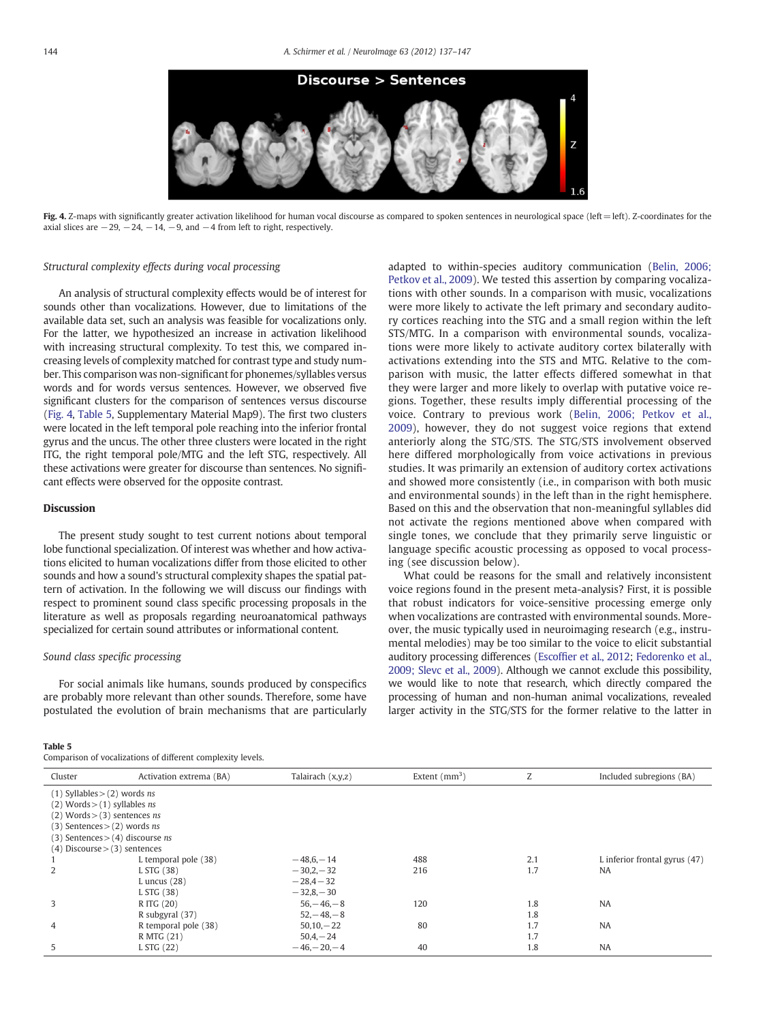

Fig. 4. Z-maps with significantly greater activation likelihood for human vocal discourse as compared to spoken sentences in neurological space (left=left). Z-coordinates for the axial slices are  $-29$ ,  $-24$ ,  $-14$ ,  $-9$ , and  $-4$  from left to right, respectively.

#### Structural complexity effects during vocal processing

An analysis of structural complexity effects would be of interest for sounds other than vocalizations. However, due to limitations of the available data set, such an analysis was feasible for vocalizations only. For the latter, we hypothesized an increase in activation likelihood with increasing structural complexity. To test this, we compared increasing levels of complexity matched for contrast type and study number. This comparison was non-significant for phonemes/syllables versus words and for words versus sentences. However, we observed five significant clusters for the comparison of sentences versus discourse (Fig. 4, Table 5, Supplementary Material Map9). The first two clusters were located in the left temporal pole reaching into the inferior frontal gyrus and the uncus. The other three clusters were located in the right ITG, the right temporal pole/MTG and the left STG, respectively. All these activations were greater for discourse than sentences. No significant effects were observed for the opposite contrast.

#### **Discussion**

The present study sought to test current notions about temporal lobe functional specialization. Of interest was whether and how activations elicited to human vocalizations differ from those elicited to other sounds and how a sound's structural complexity shapes the spatial pattern of activation. In the following we will discuss our findings with respect to prominent sound class specific processing proposals in the literature as well as proposals regarding neuroanatomical pathways specialized for certain sound attributes or informational content.

#### Sound class specific processing

For social animals like humans, sounds produced by conspecifics are probably more relevant than other sounds. Therefore, some have postulated the evolution of brain mechanisms that are particularly

#### Table 5

Comparison of vocalizations of different complexity levels.

adapted to within-species auditory communication ([Belin, 2006;](#page-10-0) [Petkov et al., 2009\)](#page-10-0). We tested this assertion by comparing vocalizations with other sounds. In a comparison with music, vocalizations were more likely to activate the left primary and secondary auditory cortices reaching into the STG and a small region within the left STS/MTG. In a comparison with environmental sounds, vocalizations were more likely to activate auditory cortex bilaterally with activations extending into the STS and MTG. Relative to the comparison with music, the latter effects differed somewhat in that they were larger and more likely to overlap with putative voice regions. Together, these results imply differential processing of the voice. Contrary to previous work ([Belin, 2006; Petkov et al.,](#page-10-0) [2009](#page-10-0)), however, they do not suggest voice regions that extend anteriorly along the STG/STS. The STG/STS involvement observed here differed morphologically from voice activations in previous studies. It was primarily an extension of auditory cortex activations and showed more consistently (i.e., in comparison with both music and environmental sounds) in the left than in the right hemisphere. Based on this and the observation that non-meaningful syllables did not activate the regions mentioned above when compared with single tones, we conclude that they primarily serve linguistic or language specific acoustic processing as opposed to vocal processing (see discussion below).

What could be reasons for the small and relatively inconsistent voice regions found in the present meta-analysis? First, it is possible that robust indicators for voice-sensitive processing emerge only when vocalizations are contrasted with environmental sounds. Moreover, the music typically used in neuroimaging research (e.g., instrumental melodies) may be too similar to the voice to elicit substantial auditory processing differences (Escoffi[er et al., 2012](#page-10-0); [Fedorenko et al.,](#page-10-0) [2009; Slevc et al., 2009](#page-10-0)). Although we cannot exclude this possibility, we would like to note that research, which directly compared the processing of human and non-human animal vocalizations, revealed larger activity in the STG/STS for the former relative to the latter in

| Cluster                                 | Activation extrema (BA)                     | Talairach $(x,y,z)$ | Extent $(mm^3)$ | Z   | Included subregions (BA)        |
|-----------------------------------------|---------------------------------------------|---------------------|-----------------|-----|---------------------------------|
| $(1)$ Syllables > $(2)$ words ns        |                                             |                     |                 |     |                                 |
| $(2)$ Words > $(1)$ syllables <i>ns</i> |                                             |                     |                 |     |                                 |
|                                         | $(2)$ Words > $(3)$ sentences <i>ns</i>     |                     |                 |     |                                 |
|                                         | $(3)$ Sentences > $(2)$ words ns            |                     |                 |     |                                 |
|                                         | $(3)$ Sentences > $(4)$ discourse <i>ns</i> |                     |                 |     |                                 |
|                                         | $(4)$ Discourse $>(3)$ sentences            |                     |                 |     |                                 |
|                                         | L temporal pole (38)                        | $-48,6-14$          | 488             | 2.1 | L inferior frontal gyrus $(47)$ |
|                                         | L STG (38)                                  | $-30.2 - 32$        | 216             | 1.7 | <b>NA</b>                       |
|                                         | L uncus $(28)$                              | $-28.4 - 32$        |                 |     |                                 |
|                                         | L STG (38)                                  | $-32,8,-30$         |                 |     |                                 |
| 3                                       | R ITG (20)                                  | $56 - 46 - 8$       | 120             | 1.8 | <b>NA</b>                       |
|                                         | R subgyral (37)                             | $52, -48, -8$       |                 | 1.8 |                                 |
| 4                                       | R temporal pole (38)                        | $50,10,-22$         | 80              | 1.7 | <b>NA</b>                       |
|                                         | R MTG (21)                                  | $50,4,-24$          |                 | 1.7 |                                 |
| 5                                       | L STG (22)                                  | $-46 - 20 - 4$      | 40              | 1.8 | <b>NA</b>                       |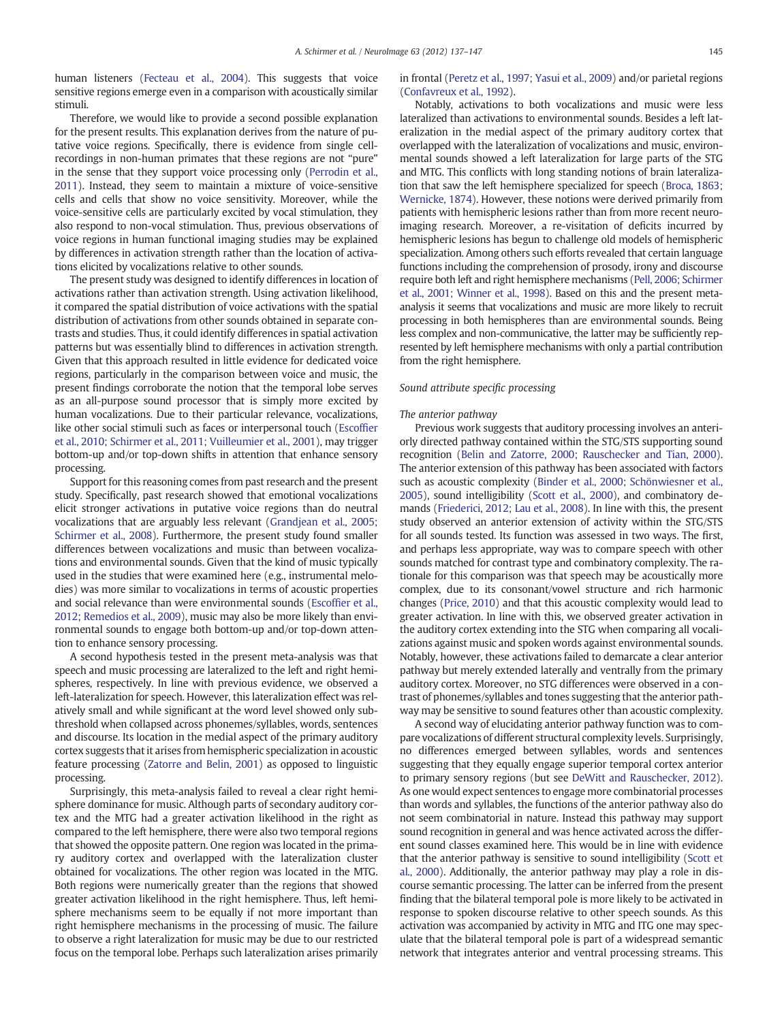human listeners ([Fecteau et al., 2004](#page-10-0)). This suggests that voice sensitive regions emerge even in a comparison with acoustically similar stimuli.

Therefore, we would like to provide a second possible explanation for the present results. This explanation derives from the nature of putative voice regions. Specifically, there is evidence from single cellrecordings in non-human primates that these regions are not "pure" in the sense that they support voice processing only [\(Perrodin et al.,](#page-10-0) [2011](#page-10-0)). Instead, they seem to maintain a mixture of voice-sensitive cells and cells that show no voice sensitivity. Moreover, while the voice-sensitive cells are particularly excited by vocal stimulation, they also respond to non-vocal stimulation. Thus, previous observations of voice regions in human functional imaging studies may be explained by differences in activation strength rather than the location of activations elicited by vocalizations relative to other sounds.

The present study was designed to identify differences in location of activations rather than activation strength. Using activation likelihood, it compared the spatial distribution of voice activations with the spatial distribution of activations from other sounds obtained in separate contrasts and studies. Thus, it could identify differences in spatial activation patterns but was essentially blind to differences in activation strength. Given that this approach resulted in little evidence for dedicated voice regions, particularly in the comparison between voice and music, the present findings corroborate the notion that the temporal lobe serves as an all-purpose sound processor that is simply more excited by human vocalizations. Due to their particular relevance, vocalizations, like other social stimuli such as faces or interpersonal touch [\(Escof](#page-10-0)fier [et al., 2010; Schirmer et al., 2011; Vuilleumier et al., 2001](#page-10-0)), may trigger bottom-up and/or top-down shifts in attention that enhance sensory processing.

Support for this reasoning comes from past research and the present study. Specifically, past research showed that emotional vocalizations elicit stronger activations in putative voice regions than do neutral vocalizations that are arguably less relevant ([Grandjean et al., 2005;](#page-10-0) [Schirmer et al., 2008](#page-10-0)). Furthermore, the present study found smaller differences between vocalizations and music than between vocalizations and environmental sounds. Given that the kind of music typically used in the studies that were examined here (e.g., instrumental melodies) was more similar to vocalizations in terms of acoustic properties and social relevance than were environmental sounds (Escoffi[er et al.,](#page-10-0) [2012](#page-10-0); [Remedios et al., 2009](#page-10-0)), music may also be more likely than environmental sounds to engage both bottom-up and/or top-down attention to enhance sensory processing.

A second hypothesis tested in the present meta-analysis was that speech and music processing are lateralized to the left and right hemispheres, respectively. In line with previous evidence, we observed a left-lateralization for speech. However, this lateralization effect was relatively small and while significant at the word level showed only subthreshold when collapsed across phonemes/syllables, words, sentences and discourse. Its location in the medial aspect of the primary auditory cortex suggests that it arises from hemispheric specialization in acoustic feature processing [\(Zatorre and Belin, 2001\)](#page-10-0) as opposed to linguistic processing.

Surprisingly, this meta-analysis failed to reveal a clear right hemisphere dominance for music. Although parts of secondary auditory cortex and the MTG had a greater activation likelihood in the right as compared to the left hemisphere, there were also two temporal regions that showed the opposite pattern. One region was located in the primary auditory cortex and overlapped with the lateralization cluster obtained for vocalizations. The other region was located in the MTG. Both regions were numerically greater than the regions that showed greater activation likelihood in the right hemisphere. Thus, left hemisphere mechanisms seem to be equally if not more important than right hemisphere mechanisms in the processing of music. The failure to observe a right lateralization for music may be due to our restricted focus on the temporal lobe. Perhaps such lateralization arises primarily in frontal ([Peretz et al., 1997; Yasui et al., 2009](#page-10-0)) and/or parietal regions [\(Confavreux et al., 1992](#page-10-0)).

Notably, activations to both vocalizations and music were less lateralized than activations to environmental sounds. Besides a left lateralization in the medial aspect of the primary auditory cortex that overlapped with the lateralization of vocalizations and music, environmental sounds showed a left lateralization for large parts of the STG and MTG. This conflicts with long standing notions of brain lateralization that saw the left hemisphere specialized for speech [\(Broca, 1863;](#page-10-0) [Wernicke, 1874](#page-10-0)). However, these notions were derived primarily from patients with hemispheric lesions rather than from more recent neuroimaging research. Moreover, a re-visitation of deficits incurred by hemispheric lesions has begun to challenge old models of hemispheric specialization. Among others such efforts revealed that certain language functions including the comprehension of prosody, irony and discourse require both left and right hemisphere mechanisms ([Pell, 2006; Schirmer](#page-10-0) [et al., 2001; Winner et al., 1998](#page-10-0)). Based on this and the present metaanalysis it seems that vocalizations and music are more likely to recruit processing in both hemispheres than are environmental sounds. Being less complex and non-communicative, the latter may be sufficiently represented by left hemisphere mechanisms with only a partial contribution from the right hemisphere.

#### Sound attribute specific processing

#### The anterior pathway

Previous work suggests that auditory processing involves an anteriorly directed pathway contained within the STG/STS supporting sound recognition [\(Belin and Zatorre, 2000; Rauschecker and Tian, 2000](#page-10-0)). The anterior extension of this pathway has been associated with factors such as acoustic complexity ([Binder et al., 2000; Schönwiesner et al.,](#page-10-0) [2005](#page-10-0)), sound intelligibility ([Scott et al., 2000\)](#page-10-0), and combinatory demands [\(Friederici, 2012; Lau et al., 2008](#page-10-0)). In line with this, the present study observed an anterior extension of activity within the STG/STS for all sounds tested. Its function was assessed in two ways. The first, and perhaps less appropriate, way was to compare speech with other sounds matched for contrast type and combinatory complexity. The rationale for this comparison was that speech may be acoustically more complex, due to its consonant/vowel structure and rich harmonic changes [\(Price, 2010\)](#page-10-0) and that this acoustic complexity would lead to greater activation. In line with this, we observed greater activation in the auditory cortex extending into the STG when comparing all vocalizations against music and spoken words against environmental sounds. Notably, however, these activations failed to demarcate a clear anterior pathway but merely extended laterally and ventrally from the primary auditory cortex. Moreover, no STG differences were observed in a contrast of phonemes/syllables and tones suggesting that the anterior pathway may be sensitive to sound features other than acoustic complexity.

A second way of elucidating anterior pathway function was to compare vocalizations of different structural complexity levels. Surprisingly, no differences emerged between syllables, words and sentences suggesting that they equally engage superior temporal cortex anterior to primary sensory regions (but see [DeWitt and Rauschecker, 2012](#page-10-0)). As one would expect sentences to engage more combinatorial processes than words and syllables, the functions of the anterior pathway also do not seem combinatorial in nature. Instead this pathway may support sound recognition in general and was hence activated across the different sound classes examined here. This would be in line with evidence that the anterior pathway is sensitive to sound intelligibility [\(Scott et](#page-10-0) [al., 2000](#page-10-0)). Additionally, the anterior pathway may play a role in discourse semantic processing. The latter can be inferred from the present finding that the bilateral temporal pole is more likely to be activated in response to spoken discourse relative to other speech sounds. As this activation was accompanied by activity in MTG and ITG one may speculate that the bilateral temporal pole is part of a widespread semantic network that integrates anterior and ventral processing streams. This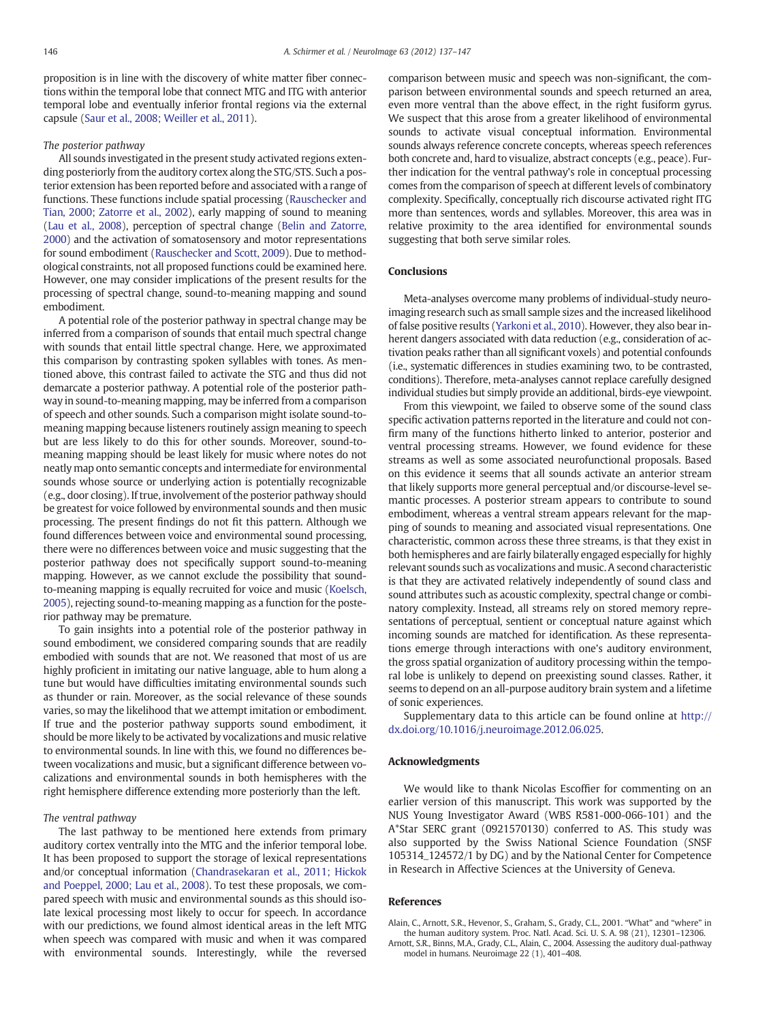<span id="page-9-0"></span>proposition is in line with the discovery of white matter fiber connections within the temporal lobe that connect MTG and ITG with anterior temporal lobe and eventually inferior frontal regions via the external capsule ([Saur et al., 2008; Weiller et al., 2011](#page-10-0)).

#### The posterior pathway

All sounds investigated in the present study activated regions extending posteriorly from the auditory cortex along the STG/STS. Such a posterior extension has been reported before and associated with a range of functions. These functions include spatial processing [\(Rauschecker and](#page-10-0) [Tian, 2000; Zatorre et al., 2002\)](#page-10-0), early mapping of sound to meaning [\(Lau et al., 2008\)](#page-10-0), perception of spectral change ([Belin and Zatorre,](#page-10-0) [2000\)](#page-10-0) and the activation of somatosensory and motor representations for sound embodiment ([Rauschecker and Scott, 2009](#page-10-0)). Due to methodological constraints, not all proposed functions could be examined here. However, one may consider implications of the present results for the processing of spectral change, sound-to-meaning mapping and sound embodiment.

A potential role of the posterior pathway in spectral change may be inferred from a comparison of sounds that entail much spectral change with sounds that entail little spectral change. Here, we approximated this comparison by contrasting spoken syllables with tones. As mentioned above, this contrast failed to activate the STG and thus did not demarcate a posterior pathway. A potential role of the posterior pathway in sound-to-meaning mapping, may be inferred from a comparison of speech and other sounds. Such a comparison might isolate sound-tomeaning mapping because listeners routinely assign meaning to speech but are less likely to do this for other sounds. Moreover, sound-tomeaning mapping should be least likely for music where notes do not neatly map onto semantic concepts and intermediate for environmental sounds whose source or underlying action is potentially recognizable (e.g., door closing). If true, involvement of the posterior pathway should be greatest for voice followed by environmental sounds and then music processing. The present findings do not fit this pattern. Although we found differences between voice and environmental sound processing, there were no differences between voice and music suggesting that the posterior pathway does not specifically support sound-to-meaning mapping. However, as we cannot exclude the possibility that soundto-meaning mapping is equally recruited for voice and music ([Koelsch,](#page-10-0) [2005](#page-10-0)), rejecting sound-to-meaning mapping as a function for the posterior pathway may be premature.

To gain insights into a potential role of the posterior pathway in sound embodiment, we considered comparing sounds that are readily embodied with sounds that are not. We reasoned that most of us are highly proficient in imitating our native language, able to hum along a tune but would have difficulties imitating environmental sounds such as thunder or rain. Moreover, as the social relevance of these sounds varies, so may the likelihood that we attempt imitation or embodiment. If true and the posterior pathway supports sound embodiment, it should be more likely to be activated by vocalizations and music relative to environmental sounds. In line with this, we found no differences between vocalizations and music, but a significant difference between vocalizations and environmental sounds in both hemispheres with the right hemisphere difference extending more posteriorly than the left.

#### The ventral pathway

The last pathway to be mentioned here extends from primary auditory cortex ventrally into the MTG and the inferior temporal lobe. It has been proposed to support the storage of lexical representations and/or conceptual information [\(Chandrasekaran et al., 2011; Hickok](#page-10-0) [and Poeppel, 2000; Lau et al., 2008](#page-10-0)). To test these proposals, we compared speech with music and environmental sounds as this should isolate lexical processing most likely to occur for speech. In accordance with our predictions, we found almost identical areas in the left MTG when speech was compared with music and when it was compared with environmental sounds. Interestingly, while the reversed comparison between music and speech was non-significant, the comparison between environmental sounds and speech returned an area, even more ventral than the above effect, in the right fusiform gyrus. We suspect that this arose from a greater likelihood of environmental sounds to activate visual conceptual information. Environmental sounds always reference concrete concepts, whereas speech references both concrete and, hard to visualize, abstract concepts (e.g., peace). Further indication for the ventral pathway's role in conceptual processing comes from the comparison of speech at different levels of combinatory complexity. Specifically, conceptually rich discourse activated right ITG more than sentences, words and syllables. Moreover, this area was in relative proximity to the area identified for environmental sounds suggesting that both serve similar roles.

#### Conclusions

Meta-analyses overcome many problems of individual-study neuroimaging research such as small sample sizes and the increased likelihood of false positive results [\(Yarkoni et al., 2010](#page-10-0)). However, they also bear inherent dangers associated with data reduction (e.g., consideration of activation peaks rather than all significant voxels) and potential confounds (i.e., systematic differences in studies examining two, to be contrasted, conditions). Therefore, meta-analyses cannot replace carefully designed individual studies but simply provide an additional, birds-eye viewpoint.

From this viewpoint, we failed to observe some of the sound class specific activation patterns reported in the literature and could not confirm many of the functions hitherto linked to anterior, posterior and ventral processing streams. However, we found evidence for these streams as well as some associated neurofunctional proposals. Based on this evidence it seems that all sounds activate an anterior stream that likely supports more general perceptual and/or discourse-level semantic processes. A posterior stream appears to contribute to sound embodiment, whereas a ventral stream appears relevant for the mapping of sounds to meaning and associated visual representations. One characteristic, common across these three streams, is that they exist in both hemispheres and are fairly bilaterally engaged especially for highly relevant sounds such as vocalizations and music. A second characteristic is that they are activated relatively independently of sound class and sound attributes such as acoustic complexity, spectral change or combinatory complexity. Instead, all streams rely on stored memory representations of perceptual, sentient or conceptual nature against which incoming sounds are matched for identification. As these representations emerge through interactions with one's auditory environment, the gross spatial organization of auditory processing within the temporal lobe is unlikely to depend on preexisting sound classes. Rather, it seems to depend on an all-purpose auditory brain system and a lifetime of sonic experiences.

Supplementary data to this article can be found online at http:// dx.doi.org/10.1016/j.neuroimage.2012.06.025.

#### Acknowledgments

We would like to thank Nicolas Escoffier for commenting on an earlier version of this manuscript. This work was supported by the NUS Young Investigator Award (WBS R581-000-066-101) and the A\*Star SERC grant (0921570130) conferred to AS. This study was also supported by the Swiss National Science Foundation (SNSF 105314\_124572/1 by DG) and by the National Center for Competence in Research in Affective Sciences at the University of Geneva.

#### References

Alain, C., Arnott, S.R., Hevenor, S., Graham, S., Grady, C.L., 2001. "What" and "where" in the human auditory system. Proc. Natl. Acad. Sci. U. S. A. 98 (21), 12301–12306.

Arnott, S.R., Binns, M.A., Grady, C.L., Alain, C., 2004. Assessing the auditory dual-pathway model in humans. Neuroimage 22 (1), 401–408.